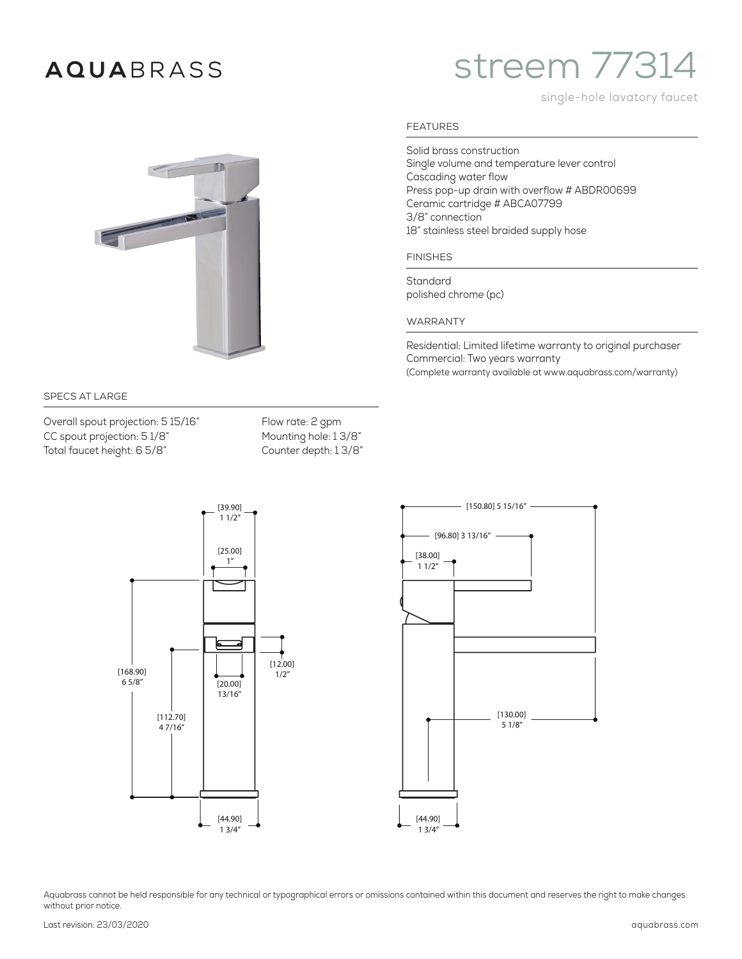## **AQUA**BRASS

# streem 77314

#### single-hole lavatory faucet



#### SPECS AT LARGE

Overall spout projection: 5 15/16" Flow rate: 2 gpm CC spout projection: 5 1/8" Mounting hole: 1 3/8" Total faucet height: 6 5/8" Counter depth: 1 3/8"





Aquabrass cannot be held responsible for any technical or typographical errors or omissions contained within this document and reserves the right to make changes without prior notice.

Single volume and temperature lever control Cascading water flow

Press pop-up drain with overflow # ABDR00699 Ceramic cartridge # ABCA07799 3/8" connection 18" stainless steel braided supply hose

Solid brass construction

FINISHES

Standard polished chrome (pc)

#### WARRANTY

Residential: Limited lifetime warranty to original purchaser Commercial: Two years warranty (Complete warranty available at www.aquabrass.com/warranty)

### FEATURES